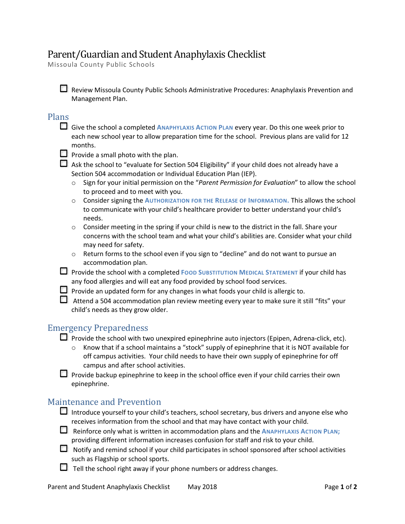# Parent/Guardian and Student Anaphylaxis Checklist

Missoula County Public Schools

Review Missoula County Public Schools Administrative Procedures: Anaphylaxis Prevention and Management Plan.

#### Plans

Give the school a completed **ANAPHYLAXIS ACTION PLAN** every year. Do this one week prior to each new school year to allow preparation time for the school. Previous plans are valid for 12 months.

- $\Box$  Provide a small photo with the plan.
- Ask the school to "evaluate for Section 504 Eligibility" if your child does not already have a Section 504 accommodation or Individual Education Plan (IEP).
	- o Sign for your initial permission on the "*Parent Permission for Evaluation*" to allow the school to proceed and to meet with you.
	- o Consider signing the **AUTHORIZATION FOR THE RELEASE OF INFORMATION.** This allows the school to communicate with your child's healthcare provider to better understand your child's needs.
	- $\circ$  Consider meeting in the spring if your child is new to the district in the fall. Share your concerns with the school team and what your child's abilities are. Consider what your child may need for safety.
	- $\circ$  Return forms to the school even if you sign to "decline" and do not want to pursue an accommodation plan.
- Provide the school with a completed **FOOD S[UBSTITUTION](http://www.mcpsmt.org/cms/lib03/MT01001940/Centricity/Domain/845/Food%20Substitution%20Medical%20Statement%2005_16.pdf) MEDICAL STATEMENT** if your child has any food allergies and will eat any food provided by school food services.
- Provide an updated form for any changes in what foods your child is allergic to.
- Attend a 504 accommodation plan review meeting every year to make sure it still "fits" your child's needs as they grow older.

## Emergency Preparedness

- **Provide the school with two unexpired epinephrine auto injectors (Epipen, Adrena-click, etc).** 
	- $\circ$  Know that if a school maintains a "stock" supply of epinephrine that it is NOT available for off campus activities. Your child needs to have their own supply of epinephrine for off campus and after school activities.

Provide backup epinephrine to keep in the school office even if your child carries their own epinephrine.

## Maintenance and Prevention

- Introduce yourself to your child's teachers, school secretary, bus drivers and anyone else who receives information from the school and that may have contact with your child.
- Reinforce only what is written in accommodation plans and the **ANAPHYLAXIS ACTION PLAN;** providing different information increases confusion for staff and risk to your child.
- $\Box$  Notify and remind school if your child participates in school sponsored after school activities such as Flagship or school sports.
- $\Box$  Tell the school right away if your phone numbers or address changes.